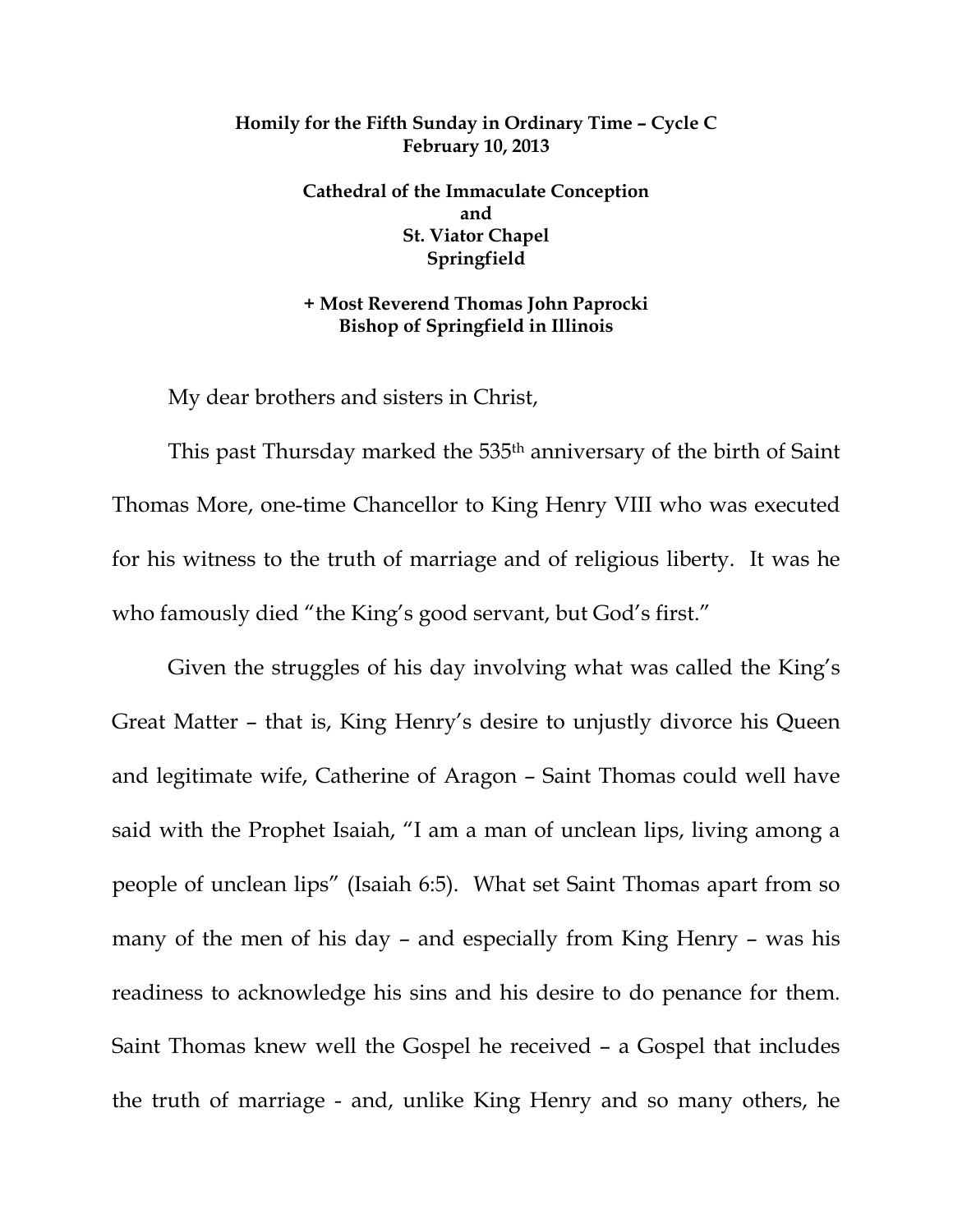## **Homily for the Fifth Sunday in Ordinary Time – Cycle C February 10, 2013**

**Cathedral of the Immaculate Conception and St. Viator Chapel Springfield** 

**+ Most Reverend Thomas John Paprocki Bishop of Springfield in Illinois** 

My dear brothers and sisters in Christ,

This past Thursday marked the 535<sup>th</sup> anniversary of the birth of Saint Thomas More, one-time Chancellor to King Henry VIII who was executed for his witness to the truth of marriage and of religious liberty. It was he who famously died "the King's good servant, but God's first."

 Given the struggles of his day involving what was called the King's Great Matter – that is, King Henry's desire to unjustly divorce his Queen and legitimate wife, Catherine of Aragon – Saint Thomas could well have said with the Prophet Isaiah, "I am a man of unclean lips, living among a people of unclean lips" (Isaiah 6:5). What set Saint Thomas apart from so many of the men of his day – and especially from King Henry – was his readiness to acknowledge his sins and his desire to do penance for them. Saint Thomas knew well the Gospel he received – a Gospel that includes the truth of marriage - and, unlike King Henry and so many others, he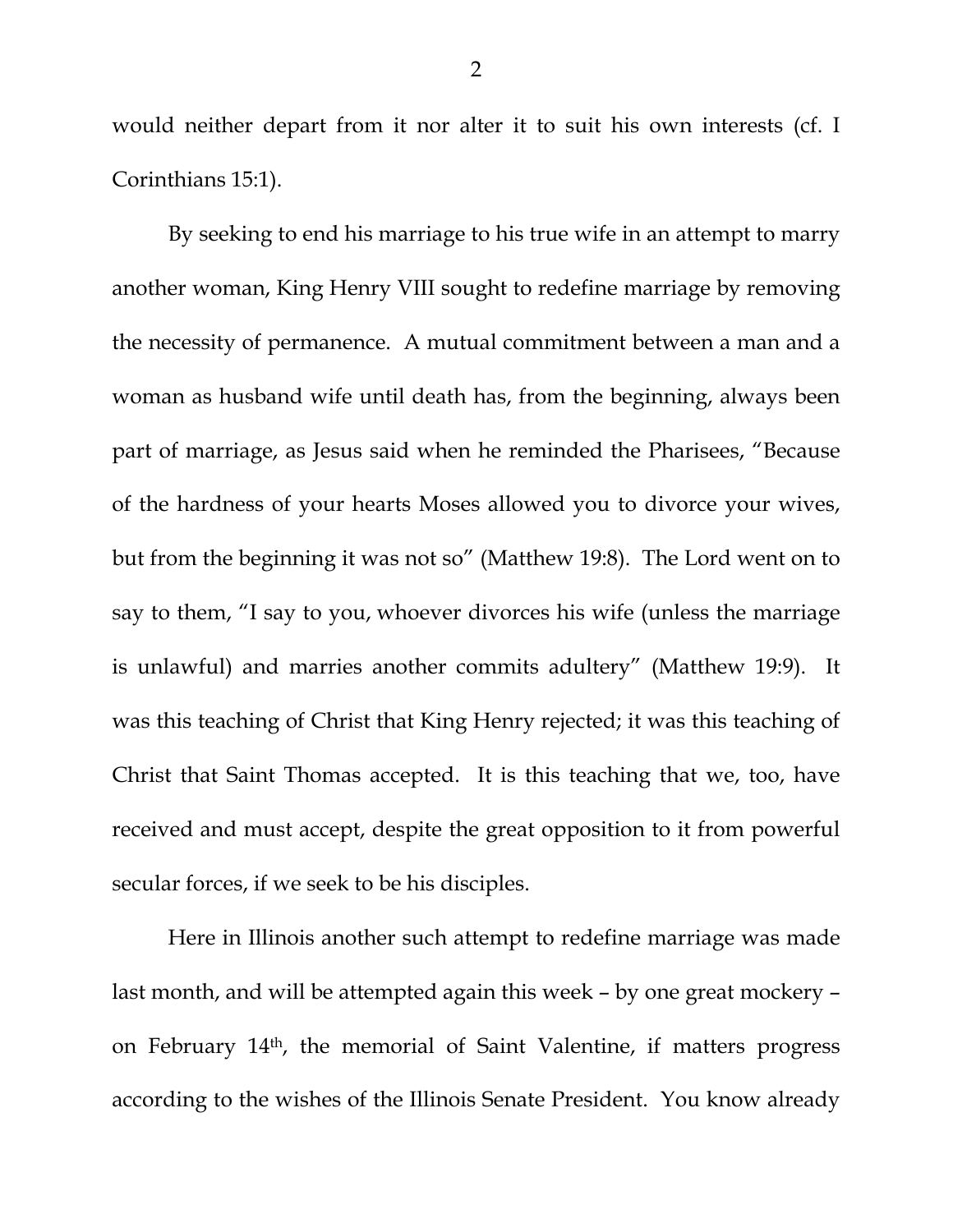would neither depart from it nor alter it to suit his own interests (cf. I Corinthians 15:1).

 By seeking to end his marriage to his true wife in an attempt to marry another woman, King Henry VIII sought to redefine marriage by removing the necessity of permanence. A mutual commitment between a man and a woman as husband wife until death has, from the beginning, always been part of marriage, as Jesus said when he reminded the Pharisees, "Because of the hardness of your hearts Moses allowed you to divorce your wives, but from the beginning it was not so" (Matthew 19:8). The Lord went on to say to them, "I say to you, whoever divorces his wife (unless the marriage is unlawful) and marries another commits adultery" (Matthew 19:9). It was this teaching of Christ that King Henry rejected; it was this teaching of Christ that Saint Thomas accepted. It is this teaching that we, too, have received and must accept, despite the great opposition to it from powerful secular forces, if we seek to be his disciples.

 Here in Illinois another such attempt to redefine marriage was made last month, and will be attempted again this week – by one great mockery – on February 14th, the memorial of Saint Valentine, if matters progress according to the wishes of the Illinois Senate President. You know already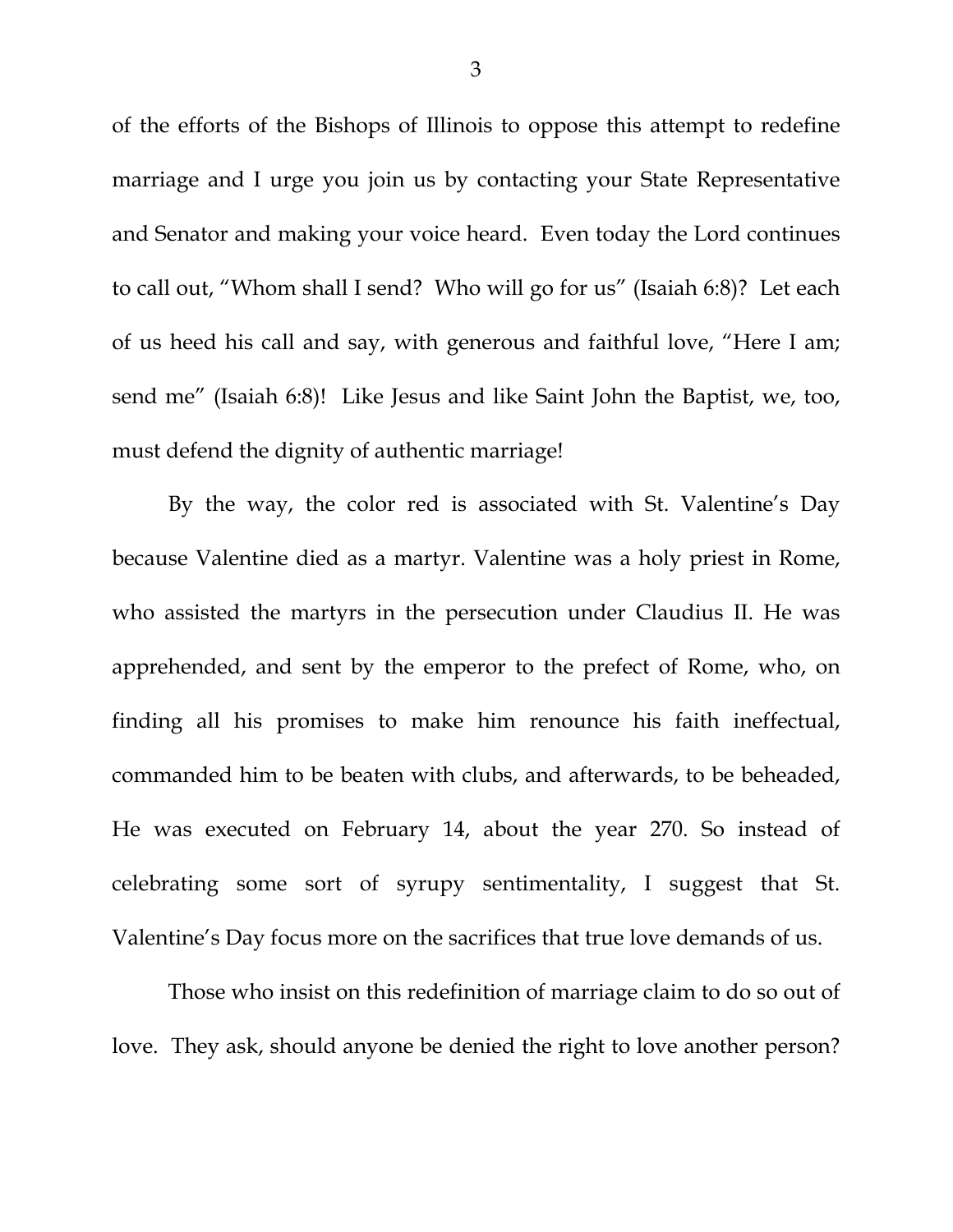of the efforts of the Bishops of Illinois to oppose this attempt to redefine marriage and I urge you join us by contacting your State Representative and Senator and making your voice heard. Even today the Lord continues to call out, "Whom shall I send? Who will go for us" (Isaiah 6:8)? Let each of us heed his call and say, with generous and faithful love, "Here I am; send me" (Isaiah 6:8)! Like Jesus and like Saint John the Baptist, we, too, must defend the dignity of authentic marriage!

 By the way, the color red is associated with St. Valentine's Day because Valentine died as a martyr. Valentine was a holy priest in Rome, who assisted the martyrs in the persecution under Claudius II. He was apprehended, and sent by the emperor to the prefect of Rome, who, on finding all his promises to make him renounce his faith ineffectual, commanded him to be beaten with clubs, and afterwards, to be beheaded, He was executed on February 14, about the year 270. So instead of celebrating some sort of syrupy sentimentality, I suggest that St. Valentine's Day focus more on the sacrifices that true love demands of us.

 Those who insist on this redefinition of marriage claim to do so out of love. They ask, should anyone be denied the right to love another person?

3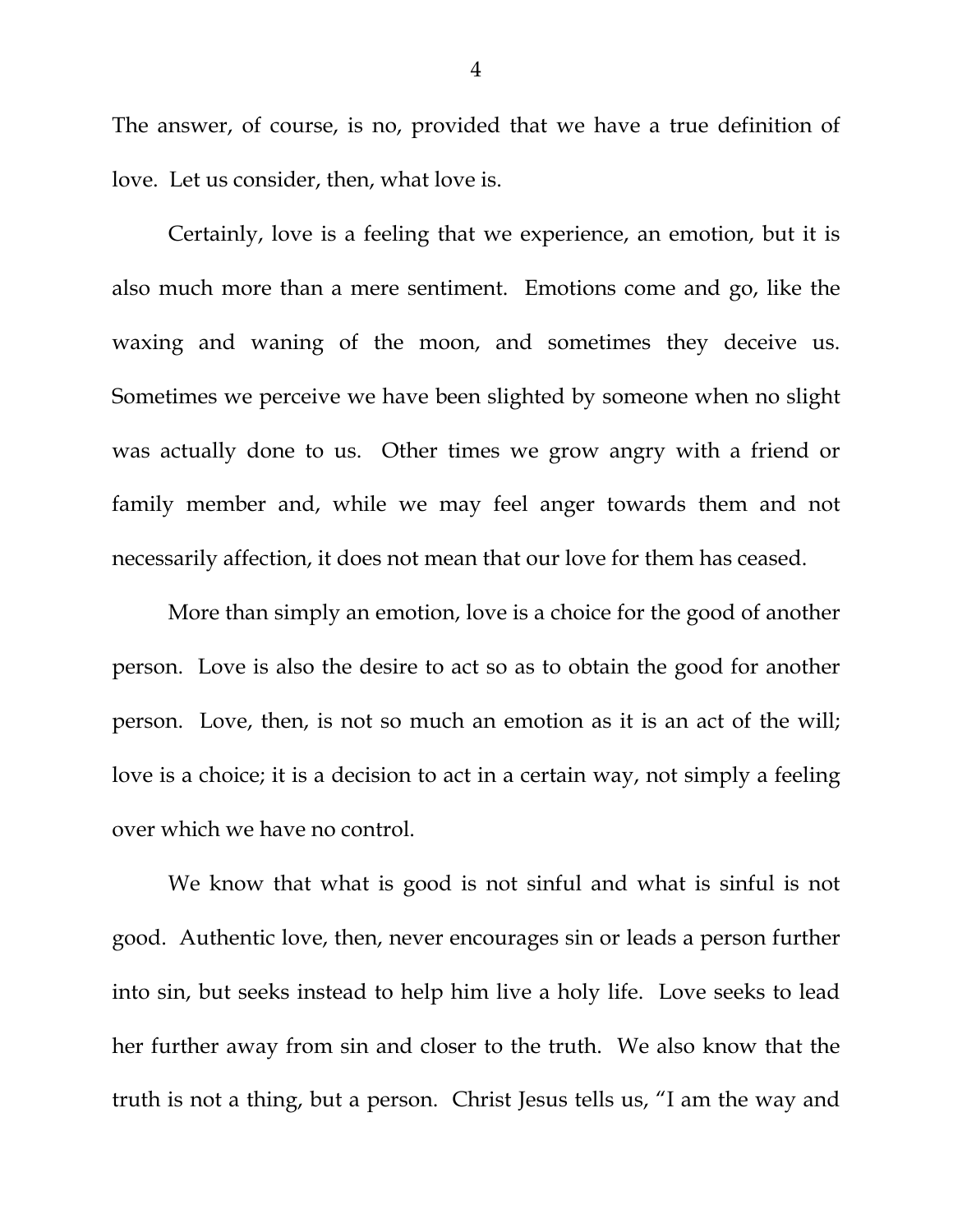The answer, of course, is no, provided that we have a true definition of love. Let us consider, then, what love is.

 Certainly, love is a feeling that we experience, an emotion, but it is also much more than a mere sentiment. Emotions come and go, like the waxing and waning of the moon, and sometimes they deceive us. Sometimes we perceive we have been slighted by someone when no slight was actually done to us. Other times we grow angry with a friend or family member and, while we may feel anger towards them and not necessarily affection, it does not mean that our love for them has ceased.

 More than simply an emotion, love is a choice for the good of another person. Love is also the desire to act so as to obtain the good for another person. Love, then, is not so much an emotion as it is an act of the will; love is a choice; it is a decision to act in a certain way, not simply a feeling over which we have no control.

 We know that what is good is not sinful and what is sinful is not good. Authentic love, then, never encourages sin or leads a person further into sin, but seeks instead to help him live a holy life. Love seeks to lead her further away from sin and closer to the truth. We also know that the truth is not a thing, but a person. Christ Jesus tells us, "I am the way and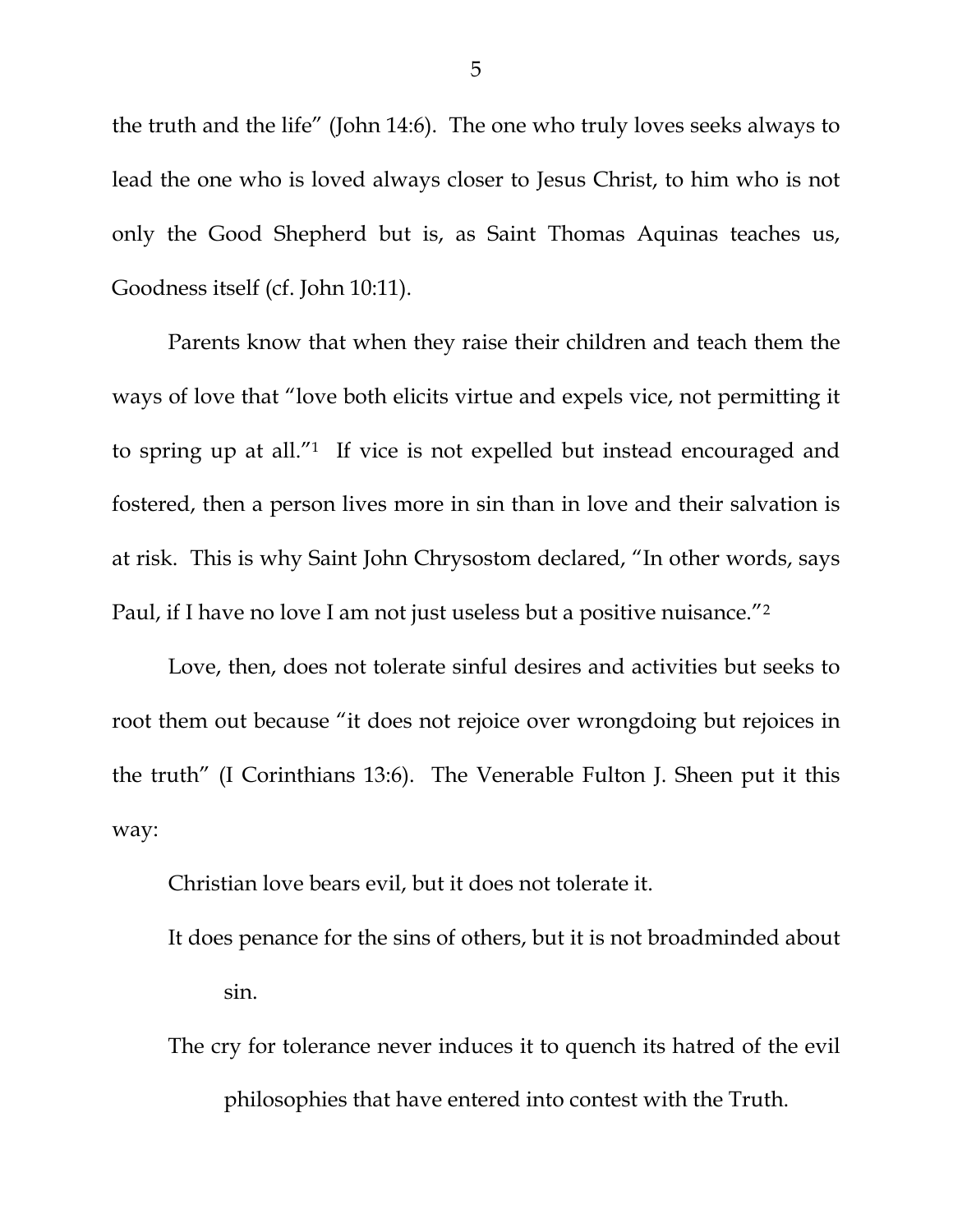the truth and the life" (John 14:6). The one who truly loves seeks always to lead the one who is loved always closer to Jesus Christ, to him who is not only the Good Shepherd but is, as Saint Thomas Aquinas teaches us, Goodness itself (cf. John 10:11).

 Parents know that when they raise their children and teach them the ways of love that "love both elicits virtue and expels vice, not permitting it to spring up at all."1 If vice is not expelled but instead encouraged and fostered, then a person lives more in sin than in love and their salvation is at risk. This is why Saint John Chrysostom declared, "In other words, says Paul, if I have no love I am not just useless but a positive nuisance."2

Love, then, does not tolerate sinful desires and activities but seeks to root them out because "it does not rejoice over wrongdoing but rejoices in the truth" (I Corinthians 13:6). The Venerable Fulton J. Sheen put it this way:

Christian love bears evil, but it does not tolerate it.

- It does penance for the sins of others, but it is not broadminded about sin.
- The cry for tolerance never induces it to quench its hatred of the evil philosophies that have entered into contest with the Truth.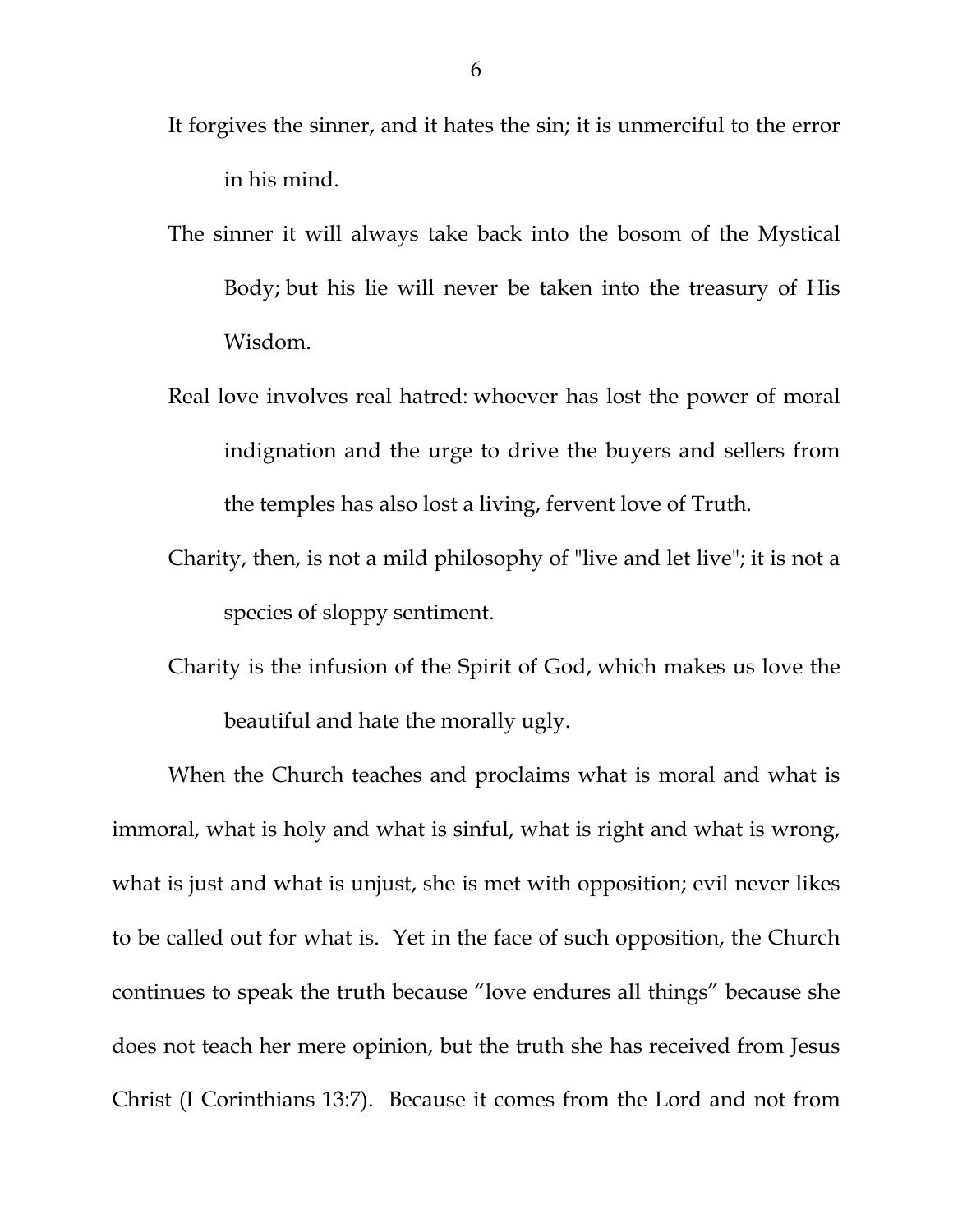- It forgives the sinner, and it hates the sin; it is unmerciful to the error in his mind.
- The sinner it will always take back into the bosom of the Mystical Body; but his lie will never be taken into the treasury of His Wisdom.
- Real love involves real hatred: whoever has lost the power of moral indignation and the urge to drive the buyers and sellers from the temples has also lost a living, fervent love of Truth.
- Charity, then, is not a mild philosophy of "live and let live"; it is not a species of sloppy sentiment.
- Charity is the infusion of the Spirit of God, which makes us love the beautiful and hate the morally ugly.

When the Church teaches and proclaims what is moral and what is immoral, what is holy and what is sinful, what is right and what is wrong, what is just and what is unjust, she is met with opposition; evil never likes to be called out for what is. Yet in the face of such opposition, the Church continues to speak the truth because "love endures all things" because she does not teach her mere opinion, but the truth she has received from Jesus Christ (I Corinthians 13:7). Because it comes from the Lord and not from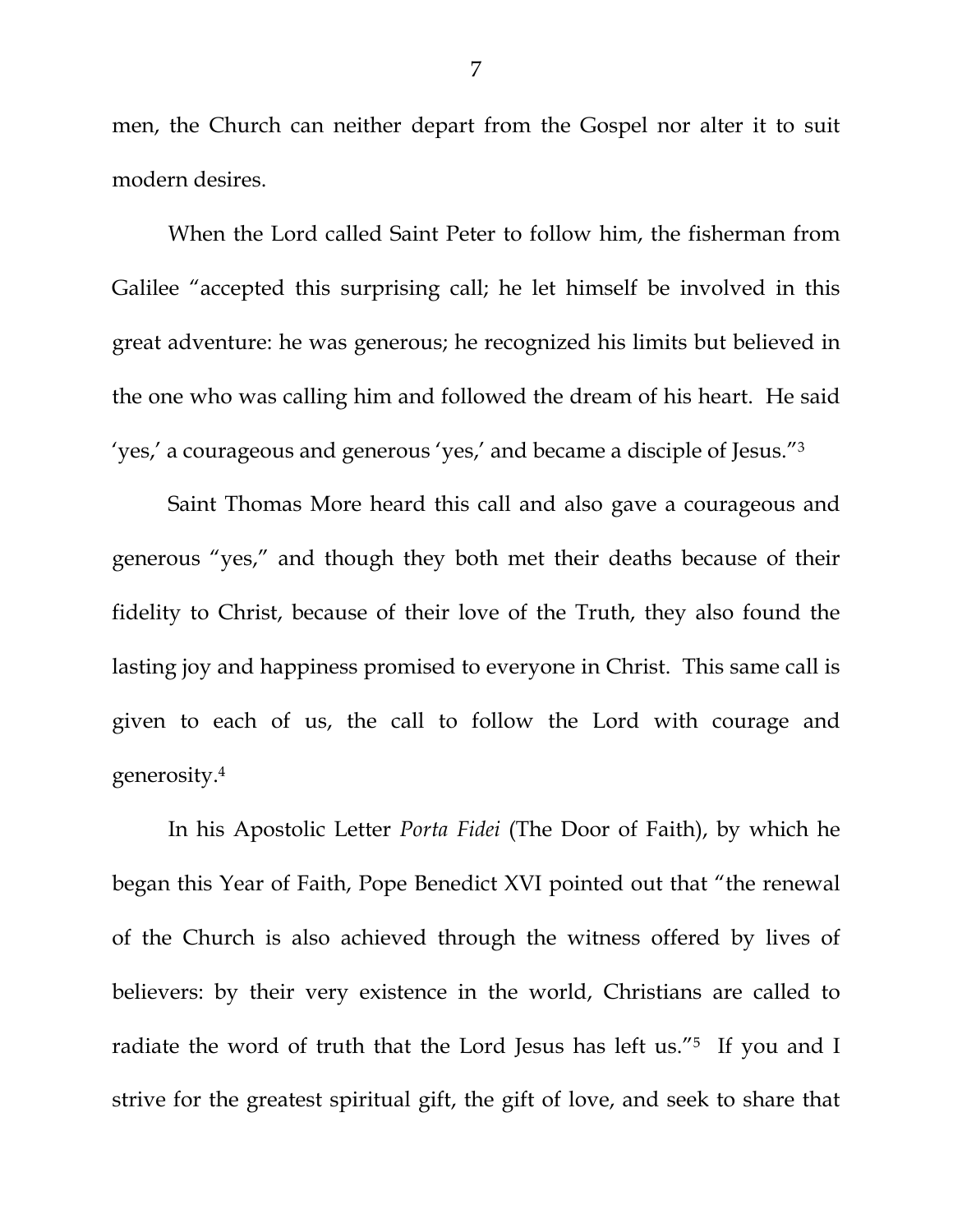men, the Church can neither depart from the Gospel nor alter it to suit modern desires.

 When the Lord called Saint Peter to follow him, the fisherman from Galilee "accepted this surprising call; he let himself be involved in this great adventure: he was generous; he recognized his limits but believed in the one who was calling him and followed the dream of his heart. He said 'yes,' a courageous and generous 'yes,' and became a disciple of Jesus."3

 Saint Thomas More heard this call and also gave a courageous and generous "yes," and though they both met their deaths because of their fidelity to Christ, because of their love of the Truth, they also found the lasting joy and happiness promised to everyone in Christ. This same call is given to each of us, the call to follow the Lord with courage and generosity.4

In his Apostolic Letter *Porta Fidei* (The Door of Faith), by which he began this Year of Faith, Pope Benedict XVI pointed out that "the renewal of the Church is also achieved through the witness offered by lives of believers: by their very existence in the world, Christians are called to radiate the word of truth that the Lord Jesus has left us."5 If you and I strive for the greatest spiritual gift, the gift of love, and seek to share that